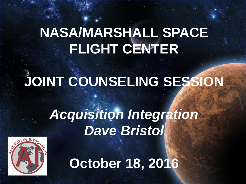## **NASA/MARSHALL SPACE FLIGHT CENTER**

# **JOINT COUNSELING SESSION**

## *Acquisition Integration Dave Bristol*



**October 18, 2016**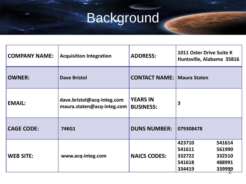# Background

| <b>COMPANY NAME:</b> | <b>Acquisition Integration</b>                           | <b>ADDRESS:</b>                     | <b>1011 Oster Drive Suite K</b><br>Huntsville, Alabama 35816                                     |
|----------------------|----------------------------------------------------------|-------------------------------------|--------------------------------------------------------------------------------------------------|
| <b>OWNER:</b>        | <b>Dave Bristol</b>                                      | <b>CONTACT NAME: Maura Staten</b>   |                                                                                                  |
| <b>EMAIL:</b>        | dave.bristol@acq-integ.com<br>maura.staten@acq-integ.com | <b>YEARS IN</b><br><b>BUSINESS:</b> | 3                                                                                                |
| <b>CAGE CODE:</b>    | <b>74KG1</b>                                             | <b>DUNS NUMBER:</b>                 | 079308478                                                                                        |
| <b>WEB SITE:</b>     | www.acq-integ.com                                        | <b>NAICS CODES:</b>                 | 423710<br>541614<br>541611<br>561990<br>332722<br>332510<br>541618<br>488991<br>334419<br>339999 |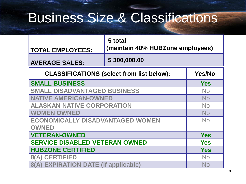### Business Size & Classifications

| <b>TOTAL EMPLOYEES:</b>                          | 5 total<br>(maintain 40% HUBZone employees) |  |  |
|--------------------------------------------------|---------------------------------------------|--|--|
| <b>AVERAGE SALES:</b>                            | \$300,000.00                                |  |  |
| <b>CLASSIFICATIONS (select from list below):</b> | Yes/No                                      |  |  |
| <b>SMALL BUSINESS</b>                            | <b>Yes</b>                                  |  |  |
| <b>SMALL DISADVANTAGED BUSINESS</b>              | No.                                         |  |  |
| <b>NATIVE AMERICAN-OWNED</b>                     | <b>No</b>                                   |  |  |
| <b>ALASKAN NATIVE CORPORATION</b>                | <b>No</b>                                   |  |  |
| <b>WOMEN OWNED</b>                               | <b>No</b>                                   |  |  |
| <b>ECONOMICALLY DISADVANTAGED WOMEN</b>          | No                                          |  |  |
| <b>OWNED</b>                                     |                                             |  |  |
| <b>VETERAN-OWNED</b>                             | <b>Yes</b>                                  |  |  |
| <b>SERVICE DISABLED VETERAN OWNED</b>            | <b>Yes</b>                                  |  |  |
| <b>HUBZONE CERTIFIED</b>                         | <b>Yes</b>                                  |  |  |
| <b>8(A) CERTIFIED</b>                            | <b>No</b>                                   |  |  |
| 8(A) EXPIRATION DATE (if applicable)             | No                                          |  |  |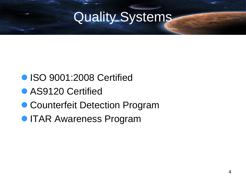### Quality Systems

- **ISO 9001:2008 Certified**
- **AS9120 Certified**
- Counterfeit Detection Program
- **ITAR Awareness Program**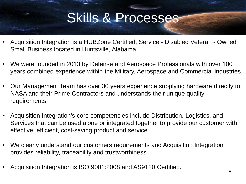#### Skills & Processes

- Acquisition Integration is a HUBZone Certified, Service Disabled Veteran Owned Small Business located in Huntsville, Alabama.
- We were founded in 2013 by Defense and Aerospace Professionals with over 100 years combined experience within the Military, Aerospace and Commercial industries.
- Our Management Team has over 30 years experience supplying hardware directly to NASA and their Prime Contractors and understands their unique quality requirements.
- Acquisition Integration's core competencies include Distribution, Logistics, and Services that can be used alone or integrated together to provide our customer with effective, efficient, cost-saving product and service.
- We clearly understand our customers requirements and Acquisition Integration provides reliability, traceability and trustworthiness.
- Acquisition Integration is ISO 9001:2008 and AS9120 Certified.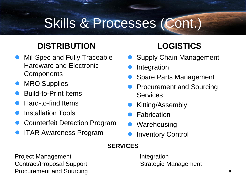#### Skills & Processes (Cont.)

#### **DISTRIBUTION**

- Mil-Spec and Fully Traceable Hardware and Electronic **Components**
- MRO Supplies
- Build-to-Print Items
- Hard-to-find Items
- Installation Tools
- Counterfeit Detection Program
- ITAR Awareness Program

#### **LOGISTICS**

- Supply Chain Management
- Integration
- Spare Parts Management
- Procurement and Sourcing **Services**
- Kitting/Assembly
- **Fabrication**
- Warehousing
- Inventory Control

#### **SERVICES**

**Project Management Integration** Contract/Proposal Support Strategic Management Procurement and Sourcing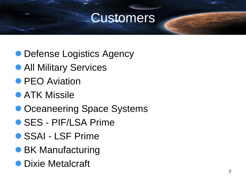#### Customers

- Defense Logistics Agency
- **All Military Services**
- **PEO Aviation**
- **ATK Missile**
- Oceaneering Space Systems
- SES PIF/LSA Prime
- SSAI LSF Prime
- **BK Manufacturing**
- **Dixie Metalcraft**